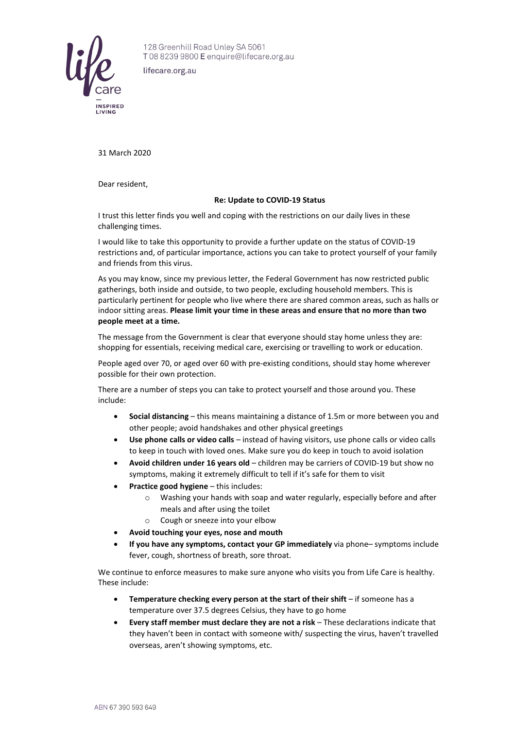

128 Greenhill Road Unley SA 5061 T0882399800 E enquire@lifecare.org.au

lifecare.org.au

31 March 2020

Dear resident,

## **Re: Update to COVID-19 Status**

I trust this letter finds you well and coping with the restrictions on our daily lives in these challenging times.

I would like to take this opportunity to provide a further update on the status of COVID-19 restrictions and, of particular importance, actions you can take to protect yourself of your family and friends from this virus.

As you may know, since my previous letter, the Federal Government has now restricted public gatherings, both inside and outside, to two people, excluding household members. This is particularly pertinent for people who live where there are shared common areas, such as halls or indoor sitting areas. **Please limit your time in these areas and ensure that no more than two people meet at a time.**

The message from the Government is clear that everyone should stay home unless they are: shopping for essentials, receiving medical care, exercising or travelling to work or education.

People aged over 70, or aged over 60 with pre-existing conditions, should stay home wherever possible for their own protection.

There are a number of steps you can take to protect yourself and those around you. These include:

- **Social distancing** this means maintaining a distance of 1.5m or more between you and other people; avoid handshakes and other physical greetings
- **Use phone calls or video calls** instead of having visitors, use phone calls or video calls to keep in touch with loved ones. Make sure you do keep in touch to avoid isolation
- **Avoid children under 16 years old** children may be carriers of COVID-19 but show no symptoms, making it extremely difficult to tell if it's safe for them to visit
- **Practice good hygiene** this includes:
	- o Washing your hands with soap and water regularly, especially before and after meals and after using the toilet
	- o Cough or sneeze into your elbow
- **Avoid touching your eyes, nose and mouth**
- **If you have any symptoms, contact your GP immediately** via phone– symptoms include fever, cough, shortness of breath, sore throat.

We continue to enforce measures to make sure anyone who visits you from Life Care is healthy. These include:

- **Temperature checking every person at the start of their shift** if someone has a temperature over 37.5 degrees Celsius, they have to go home
- **Every staff member must declare they are not a risk** These declarations indicate that they haven't been in contact with someone with/ suspecting the virus, haven't travelled overseas, aren't showing symptoms, etc.